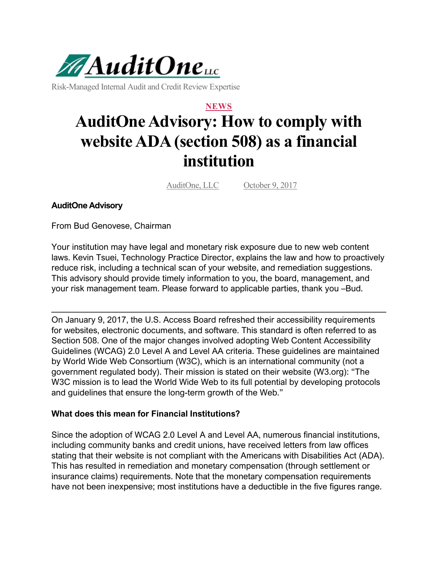

Risk-Managed Internal Audit and Credit Review Expertise

## **NEWS AuditOne Advisory: How to comply with website ADA (section 508) as a financial institution**

AuditOne, LLC October 9, 2017

**AuditOne Advisory**

From Bud Genovese, Chairman

Your institution may have legal and monetary risk exposure due to new web content laws. Kevin Tsuei, Technology Practice Director, explains the law and how to proactively reduce risk, including a technical scan of your website, and remediation suggestions. This advisory should provide timely information to you, the board, management, and your risk management team. Please forward to applicable parties, thank you –Bud.

On January 9, 2017, the U.S. Access Board refreshed their accessibility requirements for websites, electronic documents, and software. This standard is often referred to as Section 508. One of the major changes involved adopting Web Content Accessibility Guidelines (WCAG) 2.0 Level A and Level AA criteria. These guidelines are maintained by World Wide Web Consortium (W3C), which is an international community (not a government regulated body). Their mission is stated on their website (W3.org): "The W3C mission is to lead the World Wide Web to its full potential by developing protocols and guidelines that ensure the long-term growth of the Web."

## **What does this mean for Financial Institutions?**

Since the adoption of WCAG 2.0 Level A and Level AA, numerous financial institutions, including community banks and credit unions, have received letters from law offices stating that their website is not compliant with the Americans with Disabilities Act (ADA). This has resulted in remediation and monetary compensation (through settlement or insurance claims) requirements. Note that the monetary compensation requirements have not been inexpensive; most institutions have a deductible in the five figures range.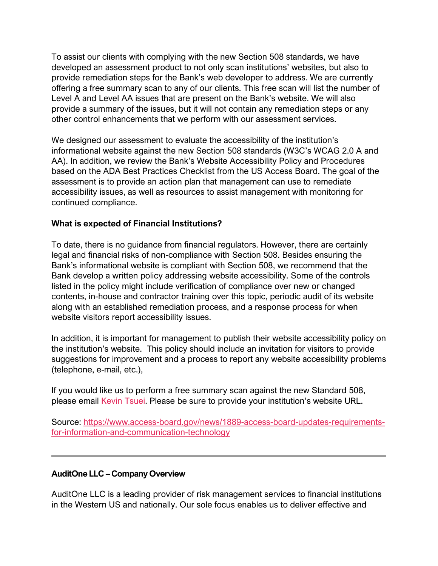To assist our clients with complying with the new Section 508 standards, we have developed an assessment product to not only scan institutions' websites, but also to provide remediation steps for the Bank's web developer to address. We are currently offering a free summary scan to any of our clients. This free scan will list the number of Level A and Level AA issues that are present on the Bank's website. We will also provide a summary of the issues, but it will not contain any remediation steps or any other control enhancements that we perform with our assessment services.

We designed our assessment to evaluate the accessibility of the institution's informational website against the new Section 508 standards (W3C's WCAG 2.0 A and AA). In addition, we review the Bank's Website Accessibility Policy and Procedures based on the ADA Best Practices Checklist from the US Access Board. The goal of the assessment is to provide an action plan that management can use to remediate accessibility issues, as well as resources to assist management with monitoring for continued compliance.

## **What is expected of Financial Institutions?**

To date, there is no guidance from financial regulators. However, there are certainly legal and financial risks of non-compliance with Section 508. Besides ensuring the Bank's informational website is compliant with Section 508, we recommend that the Bank develop a written policy addressing website accessibility. Some of the controls listed in the policy might include verification of compliance over new or changed contents, in-house and contractor training over this topic, periodic audit of its website along with an established remediation process, and a response process for when website visitors report accessibility issues.

In addition, it is important for management to publish their website accessibility policy on the institution's website. This policy should include an invitation for visitors to provide suggestions for improvement and a process to report any website accessibility problems (telephone, e-mail, etc.),

If you would like us to perform a free summary scan against the new Standard 508, please email [Kevin Tsuei.](https://auditonellc.com/contact-us) Please be sure to provide your institution's website URL.

Source: [https://www.access-board.gov/news/1889-access-board-updates-requirements](https://www.access-board.gov/news/1889-access-board-updates-requirements-for-information-and-communication-technology)[for-information-and-communication-technology](https://www.access-board.gov/news/1889-access-board-updates-requirements-for-information-and-communication-technology)

## **AuditOne LLC – Company Overview**

AuditOne LLC is a leading provider of risk management services to financial institutions in the Western US and nationally. Our sole focus enables us to deliver effective and